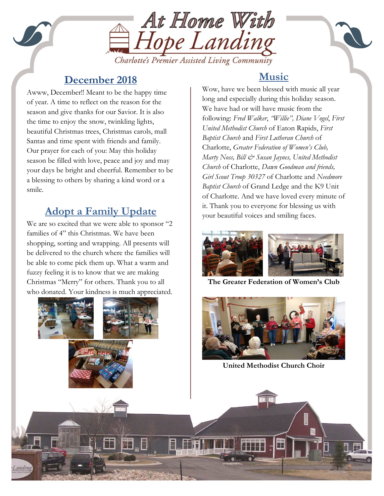

#### **December 2018**

Our prayer for each of you: May this holiday<br>season be filled with love peace and joy and Awww, December!! Meant to be the happy time of year. A time to reflect on the reason for the season and give thanks for our Savior. It is also the time to enjoy the snow, twinkling lights, beautiful Christmas trees, Christmas carols, mall Santas and time spent with friends and family. season be filled with love, peace and joy and may your days be bright and cheerful. Remember to be a blessing to others by sharing a kind word or a smile.

# **Adopt a Family Update**

We are so excited that we were able to sponsor "2 families of 4" this Christmas. We have been shopping, sorting and wrapping. All presents will be delivered to the church where the families will be able to come pick them up. What a warm and fuzzy feeling it is to know that we are making Christmas "Merry" for others. Thank you to all who donated. Your kindness is much appreciated.



# **Music**

Wow, have we been blessed with music all year long and especially during this holiday season. We have had or will have music from the following: *Fred Walker*, *"Willie", Diane Vogel*, *First United Methodist Church* of Eaton Rapids, *First Baptist Church* and *First Lutheran Church* of Charlotte, *Greater Federation of Women's Club, Marty Noss, Bill & Susan Jaynes, United Methodist Church* of Charlotte, *Dawn Goodman and friends, Girl Scout Troop 30327* of Charlotte and *Needmore Baptist Church* of Grand Ledge and the K9 Unit of Charlotte. And we have loved every minute of it. Thank you to everyone for blessing us with your beautiful voices and smiling faces.



**The Greater Federation of Women's Club**



**United Methodist Church Choir**